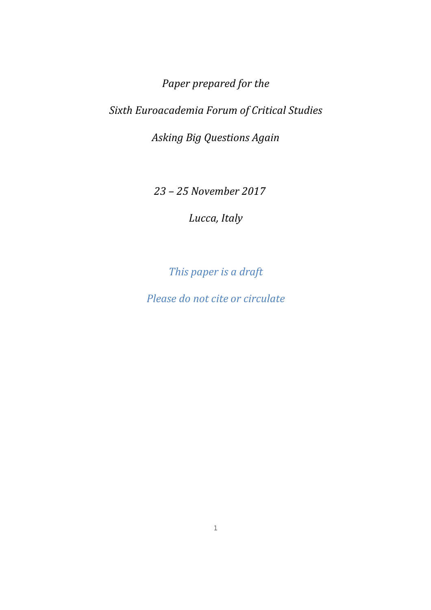*Paper prepared for the Sixth Euroacademia Forum of Critical Studies* 

*Asking Big Questions Again* 

 *23 – 25 November 2017* 

*Lucca, Italy* 

*This paper is a draft* 

*Please do not cite or circulate*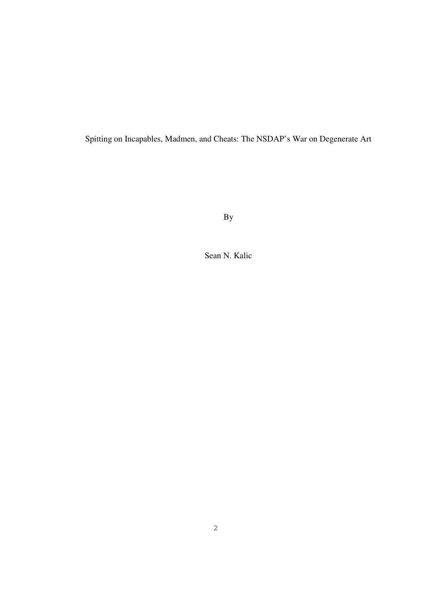Spitting on Incapables, Madmen, and Cheats: The NSDAP's War on Degenerate Art

By

Sean N. Kalic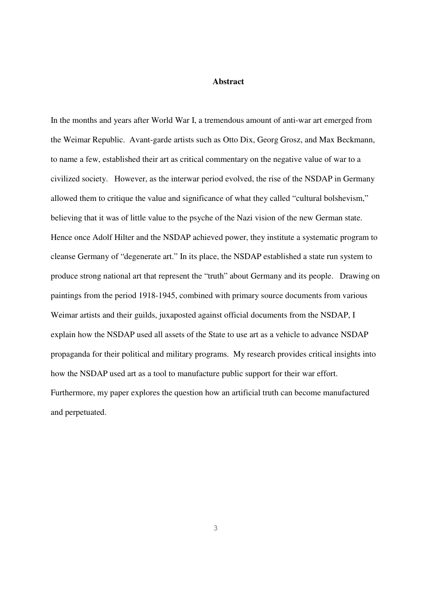## **Abstract**

In the months and years after World War I, a tremendous amount of anti-war art emerged from the Weimar Republic. Avant-garde artists such as Otto Dix, Georg Grosz, and Max Beckmann, to name a few, established their art as critical commentary on the negative value of war to a civilized society. However, as the interwar period evolved, the rise of the NSDAP in Germany allowed them to critique the value and significance of what they called "cultural bolshevism," believing that it was of little value to the psyche of the Nazi vision of the new German state. Hence once Adolf Hilter and the NSDAP achieved power, they institute a systematic program to cleanse Germany of "degenerate art." In its place, the NSDAP established a state run system to produce strong national art that represent the "truth" about Germany and its people. Drawing on paintings from the period 1918-1945, combined with primary source documents from various Weimar artists and their guilds, juxaposted against official documents from the NSDAP, I explain how the NSDAP used all assets of the State to use art as a vehicle to advance NSDAP propaganda for their political and military programs. My research provides critical insights into how the NSDAP used art as a tool to manufacture public support for their war effort. Furthermore, my paper explores the question how an artificial truth can become manufactured and perpetuated.

3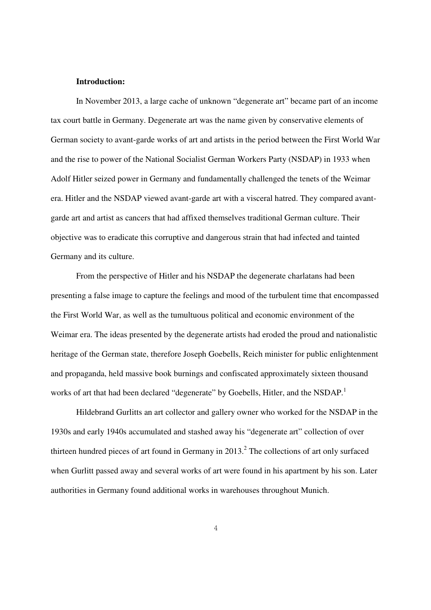## **Introduction:**

In November 2013, a large cache of unknown "degenerate art" became part of an income tax court battle in Germany. Degenerate art was the name given by conservative elements of German society to avant-garde works of art and artists in the period between the First World War and the rise to power of the National Socialist German Workers Party (NSDAP) in 1933 when Adolf Hitler seized power in Germany and fundamentally challenged the tenets of the Weimar era. Hitler and the NSDAP viewed avant-garde art with a visceral hatred. They compared avantgarde art and artist as cancers that had affixed themselves traditional German culture. Their objective was to eradicate this corruptive and dangerous strain that had infected and tainted Germany and its culture.

From the perspective of Hitler and his NSDAP the degenerate charlatans had been presenting a false image to capture the feelings and mood of the turbulent time that encompassed the First World War, as well as the tumultuous political and economic environment of the Weimar era. The ideas presented by the degenerate artists had eroded the proud and nationalistic heritage of the German state, therefore Joseph Goebells, Reich minister for public enlightenment and propaganda, held massive book burnings and confiscated approximately sixteen thousand works of art that had been declared "degenerate" by Goebells, Hitler, and the NSDAP.<sup>1</sup>

Hildebrand Gurlitts an art collector and gallery owner who worked for the NSDAP in the 1930s and early 1940s accumulated and stashed away his "degenerate art" collection of over thirteen hundred pieces of art found in Germany in  $2013$ .<sup>2</sup> The collections of art only surfaced when Gurlitt passed away and several works of art were found in his apartment by his son. Later authorities in Germany found additional works in warehouses throughout Munich.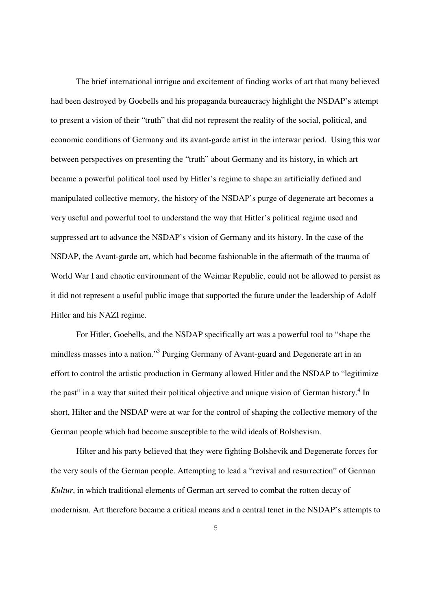The brief international intrigue and excitement of finding works of art that many believed had been destroyed by Goebells and his propaganda bureaucracy highlight the NSDAP's attempt to present a vision of their "truth" that did not represent the reality of the social, political, and economic conditions of Germany and its avant-garde artist in the interwar period. Using this war between perspectives on presenting the "truth" about Germany and its history, in which art became a powerful political tool used by Hitler's regime to shape an artificially defined and manipulated collective memory, the history of the NSDAP's purge of degenerate art becomes a very useful and powerful tool to understand the way that Hitler's political regime used and suppressed art to advance the NSDAP's vision of Germany and its history. In the case of the NSDAP, the Avant-garde art, which had become fashionable in the aftermath of the trauma of World War I and chaotic environment of the Weimar Republic, could not be allowed to persist as it did not represent a useful public image that supported the future under the leadership of Adolf Hitler and his NAZI regime.

For Hitler, Goebells, and the NSDAP specifically art was a powerful tool to "shape the mindless masses into a nation."<sup>3</sup> Purging Germany of Avant-guard and Degenerate art in an effort to control the artistic production in Germany allowed Hitler and the NSDAP to "legitimize the past" in a way that suited their political objective and unique vision of German history.<sup>4</sup> In short, Hilter and the NSDAP were at war for the control of shaping the collective memory of the German people which had become susceptible to the wild ideals of Bolshevism.

Hilter and his party believed that they were fighting Bolshevik and Degenerate forces for the very souls of the German people. Attempting to lead a "revival and resurrection" of German *Kultur*, in which traditional elements of German art served to combat the rotten decay of modernism. Art therefore became a critical means and a central tenet in the NSDAP's attempts to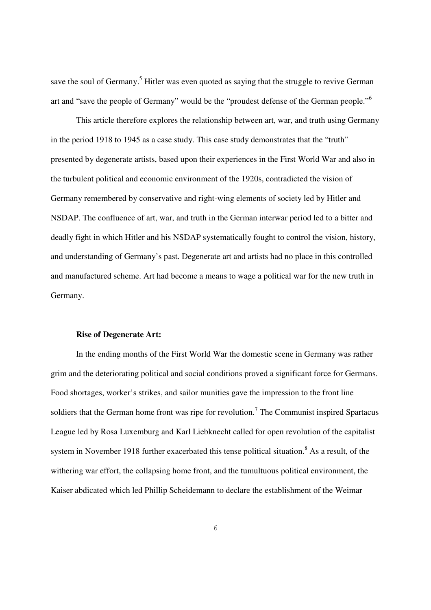save the soul of Germany.<sup>5</sup> Hitler was even quoted as saying that the struggle to revive German art and "save the people of Germany" would be the "proudest defense of the German people."<sup>6</sup>

This article therefore explores the relationship between art, war, and truth using Germany in the period 1918 to 1945 as a case study. This case study demonstrates that the "truth" presented by degenerate artists, based upon their experiences in the First World War and also in the turbulent political and economic environment of the 1920s, contradicted the vision of Germany remembered by conservative and right-wing elements of society led by Hitler and NSDAP. The confluence of art, war, and truth in the German interwar period led to a bitter and deadly fight in which Hitler and his NSDAP systematically fought to control the vision, history, and understanding of Germany's past. Degenerate art and artists had no place in this controlled and manufactured scheme. Art had become a means to wage a political war for the new truth in Germany.

#### **Rise of Degenerate Art:**

In the ending months of the First World War the domestic scene in Germany was rather grim and the deteriorating political and social conditions proved a significant force for Germans. Food shortages, worker's strikes, and sailor munities gave the impression to the front line soldiers that the German home front was ripe for revolution.<sup>7</sup> The Communist inspired Spartacus League led by Rosa Luxemburg and Karl Liebknecht called for open revolution of the capitalist system in November 1918 further exacerbated this tense political situation.<sup>8</sup> As a result, of the withering war effort, the collapsing home front, and the tumultuous political environment, the Kaiser abdicated which led Phillip Scheidemann to declare the establishment of the Weimar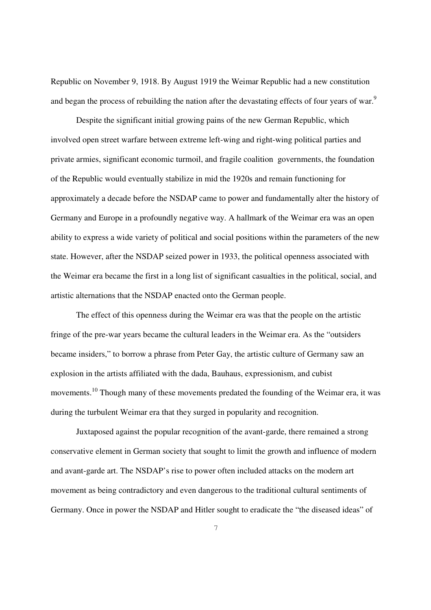Republic on November 9, 1918. By August 1919 the Weimar Republic had a new constitution and began the process of rebuilding the nation after the devastating effects of four years of war.<sup>9</sup>

Despite the significant initial growing pains of the new German Republic, which involved open street warfare between extreme left-wing and right-wing political parties and private armies, significant economic turmoil, and fragile coalition governments, the foundation of the Republic would eventually stabilize in mid the 1920s and remain functioning for approximately a decade before the NSDAP came to power and fundamentally alter the history of Germany and Europe in a profoundly negative way. A hallmark of the Weimar era was an open ability to express a wide variety of political and social positions within the parameters of the new state. However, after the NSDAP seized power in 1933, the political openness associated with the Weimar era became the first in a long list of significant casualties in the political, social, and artistic alternations that the NSDAP enacted onto the German people.

The effect of this openness during the Weimar era was that the people on the artistic fringe of the pre-war years became the cultural leaders in the Weimar era. As the "outsiders became insiders," to borrow a phrase from Peter Gay, the artistic culture of Germany saw an explosion in the artists affiliated with the dada, Bauhaus, expressionism, and cubist movements.<sup>10</sup> Though many of these movements predated the founding of the Weimar era, it was during the turbulent Weimar era that they surged in popularity and recognition.

Juxtaposed against the popular recognition of the avant-garde, there remained a strong conservative element in German society that sought to limit the growth and influence of modern and avant-garde art. The NSDAP's rise to power often included attacks on the modern art movement as being contradictory and even dangerous to the traditional cultural sentiments of Germany. Once in power the NSDAP and Hitler sought to eradicate the "the diseased ideas" of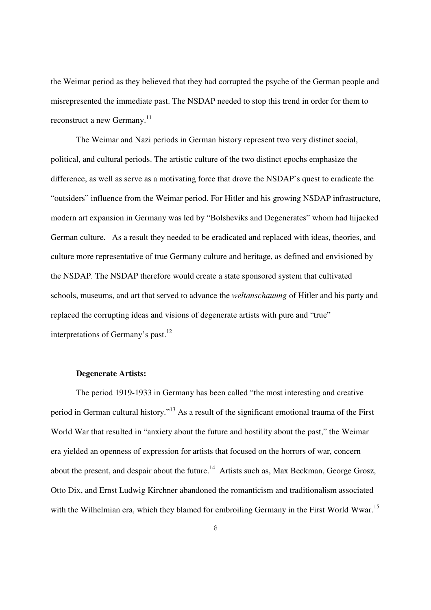the Weimar period as they believed that they had corrupted the psyche of the German people and misrepresented the immediate past. The NSDAP needed to stop this trend in order for them to reconstruct a new Germany.<sup>11</sup>

The Weimar and Nazi periods in German history represent two very distinct social, political, and cultural periods. The artistic culture of the two distinct epochs emphasize the difference, as well as serve as a motivating force that drove the NSDAP's quest to eradicate the "outsiders" influence from the Weimar period. For Hitler and his growing NSDAP infrastructure, modern art expansion in Germany was led by "Bolsheviks and Degenerates" whom had hijacked German culture. As a result they needed to be eradicated and replaced with ideas, theories, and culture more representative of true Germany culture and heritage, as defined and envisioned by the NSDAP. The NSDAP therefore would create a state sponsored system that cultivated schools, museums, and art that served to advance the *weltanschauung* of Hitler and his party and replaced the corrupting ideas and visions of degenerate artists with pure and "true" interpretations of Germany's past.<sup>12</sup>

#### **Degenerate Artists:**

The period 1919-1933 in Germany has been called "the most interesting and creative period in German cultural history."<sup>13</sup> As a result of the significant emotional trauma of the First World War that resulted in "anxiety about the future and hostility about the past," the Weimar era yielded an openness of expression for artists that focused on the horrors of war, concern about the present, and despair about the future.<sup>14</sup> Artists such as, Max Beckman, George Grosz, Otto Dix, and Ernst Ludwig Kirchner abandoned the romanticism and traditionalism associated with the Wilhelmian era, which they blamed for embroiling Germany in the First World Wwar.<sup>15</sup>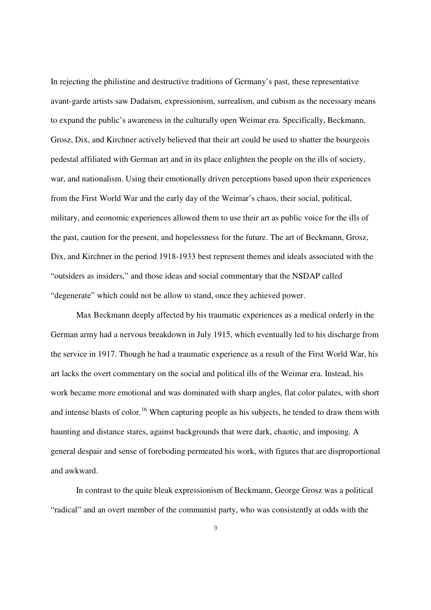In rejecting the philistine and destructive traditions of Germany's past, these representative avant-garde artists saw Dadaism, expressionism, surrealism, and cubism as the necessary means to expand the public's awareness in the culturally open Weimar era. Specifically, Beckmann, Grosz, Dix, and Kirchner actively believed that their art could be used to shatter the bourgeois pedestal affiliated with German art and in its place enlighten the people on the ills of society, war, and nationalism. Using their emotionally driven perceptions based upon their experiences from the First World War and the early day of the Weimar's chaos, their social, political, military, and economic experiences allowed them to use their art as public voice for the ills of the past, caution for the present, and hopelessness for the future. The art of Beckmann, Grosz, Dix, and Kirchner in the period 1918-1933 best represent themes and ideals associated with the "outsiders as insiders," and those ideas and social commentary that the NSDAP called "degenerate" which could not be allow to stand, once they achieved power.

Max Beckmann deeply affected by his traumatic experiences as a medical orderly in the German army had a nervous breakdown in July 1915, which eventually led to his discharge from the service in 1917. Though he had a traumatic experience as a result of the First World War, his art lacks the overt commentary on the social and political ills of the Weimar era. Instead, his work became more emotional and was dominated with sharp angles, flat color palates, with short and intense blasts of color.<sup>16</sup> When capturing people as his subjects, he tended to draw them with haunting and distance stares, against backgrounds that were dark, chaotic, and imposing. A general despair and sense of foreboding permeated his work, with figures that are disproportional and awkward.

In contrast to the quite bleak expressionism of Beckmann, George Grosz was a political "radical" and an overt member of the communist party, who was consistently at odds with the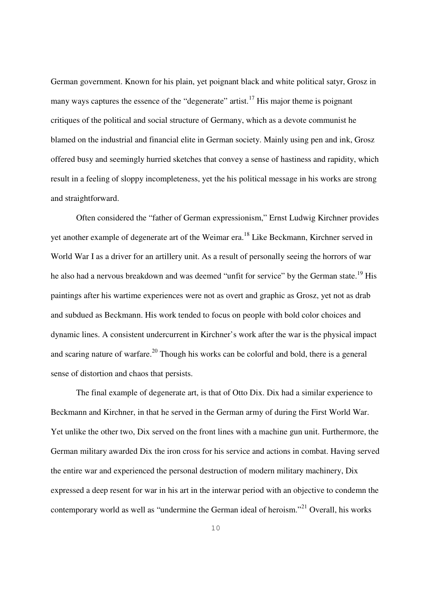German government. Known for his plain, yet poignant black and white political satyr, Grosz in many ways captures the essence of the "degenerate" artist.<sup>17</sup> His major theme is poignant critiques of the political and social structure of Germany, which as a devote communist he blamed on the industrial and financial elite in German society. Mainly using pen and ink, Grosz offered busy and seemingly hurried sketches that convey a sense of hastiness and rapidity, which result in a feeling of sloppy incompleteness, yet the his political message in his works are strong and straightforward.

Often considered the "father of German expressionism," Ernst Ludwig Kirchner provides yet another example of degenerate art of the Weimar era.<sup>18</sup> Like Beckmann, Kirchner served in World War I as a driver for an artillery unit. As a result of personally seeing the horrors of war he also had a nervous breakdown and was deemed "unfit for service" by the German state.<sup>19</sup> His paintings after his wartime experiences were not as overt and graphic as Grosz, yet not as drab and subdued as Beckmann. His work tended to focus on people with bold color choices and dynamic lines. A consistent undercurrent in Kirchner's work after the war is the physical impact and scaring nature of warfare.<sup>20</sup> Though his works can be colorful and bold, there is a general sense of distortion and chaos that persists.

The final example of degenerate art, is that of Otto Dix. Dix had a similar experience to Beckmann and Kirchner, in that he served in the German army of during the First World War. Yet unlike the other two, Dix served on the front lines with a machine gun unit. Furthermore, the German military awarded Dix the iron cross for his service and actions in combat. Having served the entire war and experienced the personal destruction of modern military machinery, Dix expressed a deep resent for war in his art in the interwar period with an objective to condemn the contemporary world as well as "undermine the German ideal of heroism."<sup>21</sup> Overall, his works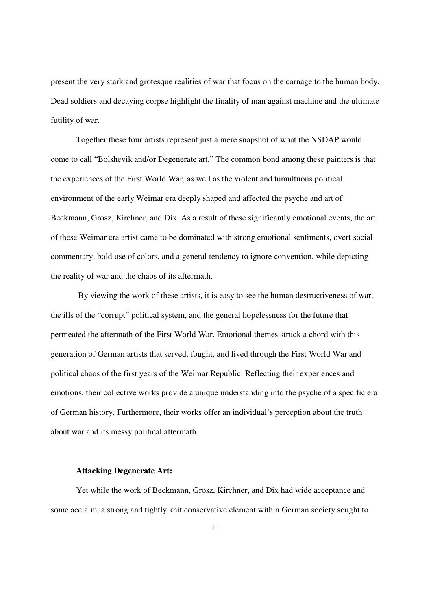present the very stark and grotesque realities of war that focus on the carnage to the human body. Dead soldiers and decaying corpse highlight the finality of man against machine and the ultimate futility of war.

Together these four artists represent just a mere snapshot of what the NSDAP would come to call "Bolshevik and/or Degenerate art." The common bond among these painters is that the experiences of the First World War, as well as the violent and tumultuous political environment of the early Weimar era deeply shaped and affected the psyche and art of Beckmann, Grosz, Kirchner, and Dix. As a result of these significantly emotional events, the art of these Weimar era artist came to be dominated with strong emotional sentiments, overt social commentary, bold use of colors, and a general tendency to ignore convention, while depicting the reality of war and the chaos of its aftermath.

 By viewing the work of these artists, it is easy to see the human destructiveness of war, the ills of the "corrupt" political system, and the general hopelessness for the future that permeated the aftermath of the First World War. Emotional themes struck a chord with this generation of German artists that served, fought, and lived through the First World War and political chaos of the first years of the Weimar Republic. Reflecting their experiences and emotions, their collective works provide a unique understanding into the psyche of a specific era of German history. Furthermore, their works offer an individual's perception about the truth about war and its messy political aftermath.

# **Attacking Degenerate Art:**

Yet while the work of Beckmann, Grosz, Kirchner, and Dix had wide acceptance and some acclaim, a strong and tightly knit conservative element within German society sought to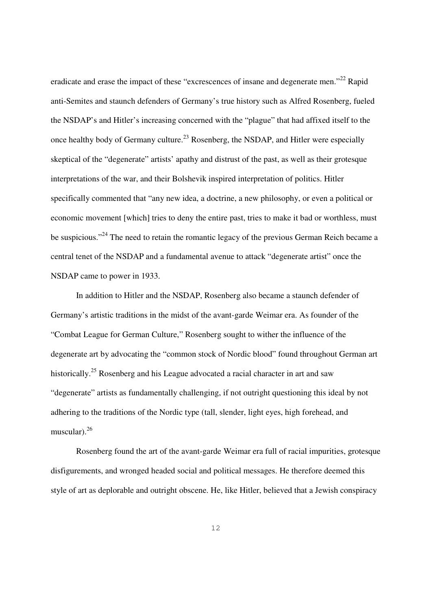eradicate and erase the impact of these "excrescences of insane and degenerate men."<sup>22</sup> Rapid anti-Semites and staunch defenders of Germany's true history such as Alfred Rosenberg, fueled the NSDAP's and Hitler's increasing concerned with the "plague" that had affixed itself to the once healthy body of Germany culture.<sup>23</sup> Rosenberg, the NSDAP, and Hitler were especially skeptical of the "degenerate" artists' apathy and distrust of the past, as well as their grotesque interpretations of the war, and their Bolshevik inspired interpretation of politics. Hitler specifically commented that "any new idea, a doctrine, a new philosophy, or even a political or economic movement [which] tries to deny the entire past, tries to make it bad or worthless, must be suspicious."<sup>24</sup> The need to retain the romantic legacy of the previous German Reich became a central tenet of the NSDAP and a fundamental avenue to attack "degenerate artist" once the NSDAP came to power in 1933.

In addition to Hitler and the NSDAP, Rosenberg also became a staunch defender of Germany's artistic traditions in the midst of the avant-garde Weimar era. As founder of the "Combat League for German Culture," Rosenberg sought to wither the influence of the degenerate art by advocating the "common stock of Nordic blood" found throughout German art historically.<sup>25</sup> Rosenberg and his League advocated a racial character in art and saw "degenerate" artists as fundamentally challenging, if not outright questioning this ideal by not adhering to the traditions of the Nordic type (tall, slender, light eyes, high forehead, and muscular).<sup>26</sup>

Rosenberg found the art of the avant-garde Weimar era full of racial impurities, grotesque disfigurements, and wronged headed social and political messages. He therefore deemed this style of art as deplorable and outright obscene. He, like Hitler, believed that a Jewish conspiracy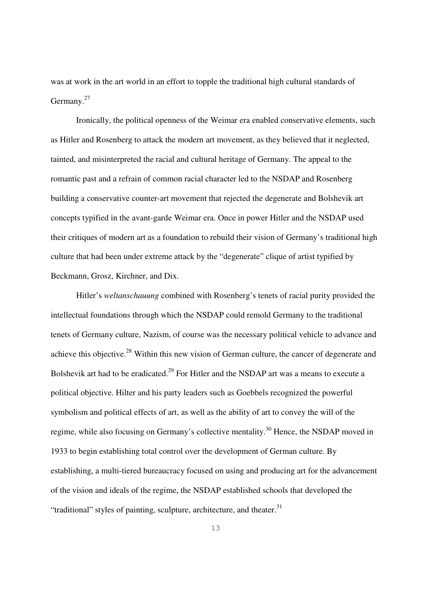was at work in the art world in an effort to topple the traditional high cultural standards of Germany. $27$ 

Ironically, the political openness of the Weimar era enabled conservative elements, such as Hitler and Rosenberg to attack the modern art movement, as they believed that it neglected, tainted, and misinterpreted the racial and cultural heritage of Germany. The appeal to the romantic past and a refrain of common racial character led to the NSDAP and Rosenberg building a conservative counter-art movement that rejected the degenerate and Bolshevik art concepts typified in the avant-garde Weimar era. Once in power Hitler and the NSDAP used their critiques of modern art as a foundation to rebuild their vision of Germany's traditional high culture that had been under extreme attack by the "degenerate" clique of artist typified by Beckmann, Grosz, Kirchner, and Dix.

Hitler's *weltanschauung* combined with Rosenberg's tenets of racial purity provided the intellectual foundations through which the NSDAP could remold Germany to the traditional tenets of Germany culture, Nazism, of course was the necessary political vehicle to advance and achieve this objective.<sup>28</sup> Within this new vision of German culture, the cancer of degenerate and Bolshevik art had to be eradicated.<sup>29</sup> For Hitler and the NSDAP art was a means to execute a political objective. Hilter and his party leaders such as Goebbels recognized the powerful symbolism and political effects of art, as well as the ability of art to convey the will of the regime, while also focusing on Germany's collective mentality.<sup>30</sup> Hence, the NSDAP moved in 1933 to begin establishing total control over the development of German culture. By establishing, a multi-tiered bureaucracy focused on using and producing art for the advancement of the vision and ideals of the regime, the NSDAP established schools that developed the "traditional" styles of painting, sculpture, architecture, and theater.<sup>31</sup>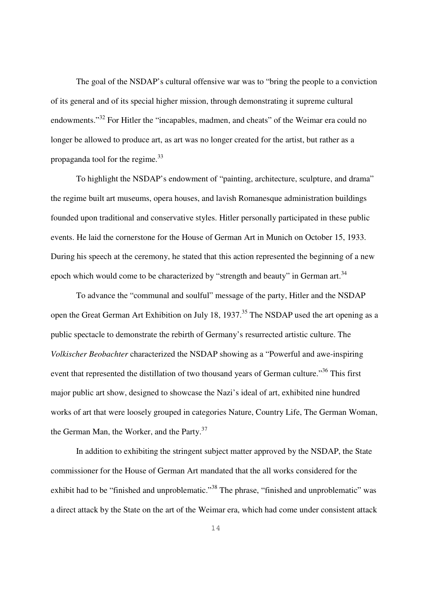The goal of the NSDAP's cultural offensive war was to "bring the people to a conviction of its general and of its special higher mission, through demonstrating it supreme cultural endowments."<sup>32</sup> For Hitler the "incapables, madmen, and cheats" of the Weimar era could no longer be allowed to produce art, as art was no longer created for the artist, but rather as a propaganda tool for the regime.<sup>33</sup>

To highlight the NSDAP's endowment of "painting, architecture, sculpture, and drama" the regime built art museums, opera houses, and lavish Romanesque administration buildings founded upon traditional and conservative styles. Hitler personally participated in these public events. He laid the cornerstone for the House of German Art in Munich on October 15, 1933. During his speech at the ceremony, he stated that this action represented the beginning of a new epoch which would come to be characterized by "strength and beauty" in German art.<sup>34</sup>

To advance the "communal and soulful" message of the party, Hitler and the NSDAP open the Great German Art Exhibition on July 18, 1937.<sup>35</sup> The NSDAP used the art opening as a public spectacle to demonstrate the rebirth of Germany's resurrected artistic culture. The *Volkischer Beobachter* characterized the NSDAP showing as a "Powerful and awe-inspiring event that represented the distillation of two thousand years of German culture."<sup>36</sup> This first major public art show, designed to showcase the Nazi's ideal of art, exhibited nine hundred works of art that were loosely grouped in categories Nature, Country Life, The German Woman, the German Man, the Worker, and the Party.<sup>37</sup>

In addition to exhibiting the stringent subject matter approved by the NSDAP, the State commissioner for the House of German Art mandated that the all works considered for the exhibit had to be "finished and unproblematic."<sup>38</sup> The phrase, "finished and unproblematic" was a direct attack by the State on the art of the Weimar era, which had come under consistent attack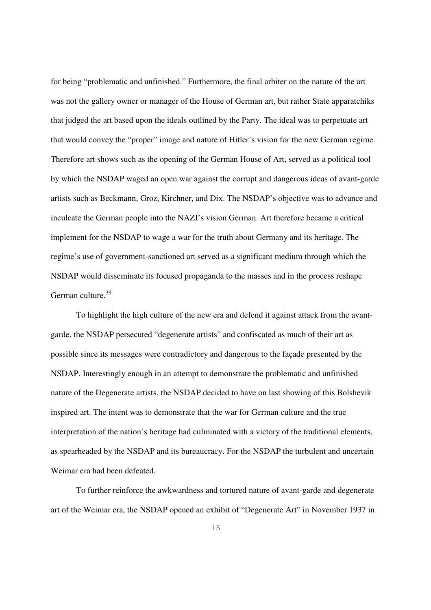for being "problematic and unfinished." Furthermore, the final arbiter on the nature of the art was not the gallery owner or manager of the House of German art, but rather State apparatchiks that judged the art based upon the ideals outlined by the Party. The ideal was to perpetuate art that would convey the "proper" image and nature of Hitler's vision for the new German regime. Therefore art shows such as the opening of the German House of Art, served as a political tool by which the NSDAP waged an open war against the corrupt and dangerous ideas of avant-garde artists such as Beckmann, Groz, Kirchner, and Dix. The NSDAP's objective was to advance and inculcate the German people into the NAZI's vision German. Art therefore became a critical implement for the NSDAP to wage a war for the truth about Germany and its heritage. The regime's use of government-sanctioned art served as a significant medium through which the NSDAP would disseminate its focused propaganda to the masses and in the process reshape German culture.<sup>39</sup>

To highlight the high culture of the new era and defend it against attack from the avantgarde, the NSDAP persecuted "degenerate artists" and confiscated as much of their art as possible since its messages were contradictory and dangerous to the façade presented by the NSDAP. Interestingly enough in an attempt to demonstrate the problematic and unfinished nature of the Degenerate artists, the NSDAP decided to have on last showing of this Bolshevik inspired art. The intent was to demonstrate that the war for German culture and the true interpretation of the nation's heritage had culminated with a victory of the traditional elements, as spearheaded by the NSDAP and its bureaucracy. For the NSDAP the turbulent and uncertain Weimar era had been defeated.

To further reinforce the awkwardness and tortured nature of avant-garde and degenerate art of the Weimar era, the NSDAP opened an exhibit of "Degenerate Art" in November 1937 in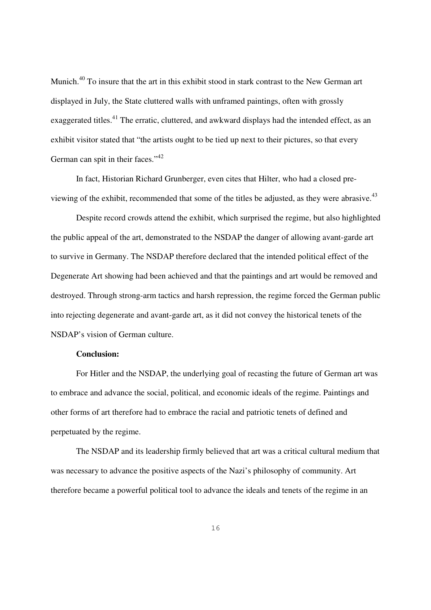Munich.<sup>40</sup> To insure that the art in this exhibit stood in stark contrast to the New German art displayed in July, the State cluttered walls with unframed paintings, often with grossly exaggerated titles.<sup>41</sup> The erratic, cluttered, and awkward displays had the intended effect, as an exhibit visitor stated that "the artists ought to be tied up next to their pictures, so that every German can spit in their faces."<sup>42</sup>

In fact, Historian Richard Grunberger, even cites that Hilter, who had a closed previewing of the exhibit, recommended that some of the titles be adjusted, as they were abrasive. $43$ 

Despite record crowds attend the exhibit, which surprised the regime, but also highlighted the public appeal of the art, demonstrated to the NSDAP the danger of allowing avant-garde art to survive in Germany. The NSDAP therefore declared that the intended political effect of the Degenerate Art showing had been achieved and that the paintings and art would be removed and destroyed. Through strong-arm tactics and harsh repression, the regime forced the German public into rejecting degenerate and avant-garde art, as it did not convey the historical tenets of the NSDAP's vision of German culture.

### **Conclusion:**

For Hitler and the NSDAP, the underlying goal of recasting the future of German art was to embrace and advance the social, political, and economic ideals of the regime. Paintings and other forms of art therefore had to embrace the racial and patriotic tenets of defined and perpetuated by the regime.

The NSDAP and its leadership firmly believed that art was a critical cultural medium that was necessary to advance the positive aspects of the Nazi's philosophy of community. Art therefore became a powerful political tool to advance the ideals and tenets of the regime in an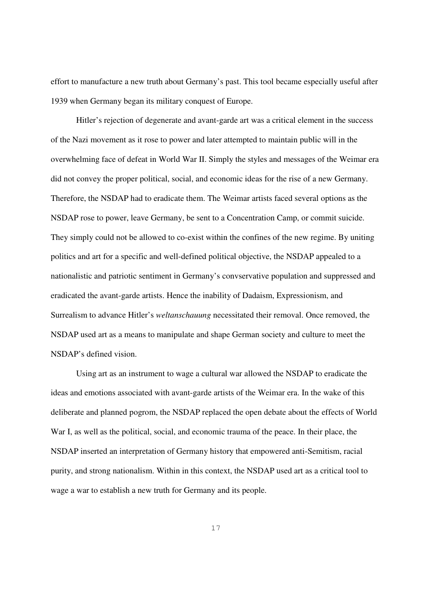effort to manufacture a new truth about Germany's past. This tool became especially useful after 1939 when Germany began its military conquest of Europe.

Hitler's rejection of degenerate and avant-garde art was a critical element in the success of the Nazi movement as it rose to power and later attempted to maintain public will in the overwhelming face of defeat in World War II. Simply the styles and messages of the Weimar era did not convey the proper political, social, and economic ideas for the rise of a new Germany. Therefore, the NSDAP had to eradicate them. The Weimar artists faced several options as the NSDAP rose to power, leave Germany, be sent to a Concentration Camp, or commit suicide. They simply could not be allowed to co-exist within the confines of the new regime. By uniting politics and art for a specific and well-defined political objective, the NSDAP appealed to a nationalistic and patriotic sentiment in Germany's convservative population and suppressed and eradicated the avant-garde artists. Hence the inability of Dadaism, Expressionism, and Surrealism to advance Hitler's *weltanschauung* necessitated their removal. Once removed, the NSDAP used art as a means to manipulate and shape German society and culture to meet the NSDAP's defined vision.

Using art as an instrument to wage a cultural war allowed the NSDAP to eradicate the ideas and emotions associated with avant-garde artists of the Weimar era. In the wake of this deliberate and planned pogrom, the NSDAP replaced the open debate about the effects of World War I, as well as the political, social, and economic trauma of the peace. In their place, the NSDAP inserted an interpretation of Germany history that empowered anti-Semitism, racial purity, and strong nationalism. Within in this context, the NSDAP used art as a critical tool to wage a war to establish a new truth for Germany and its people.

17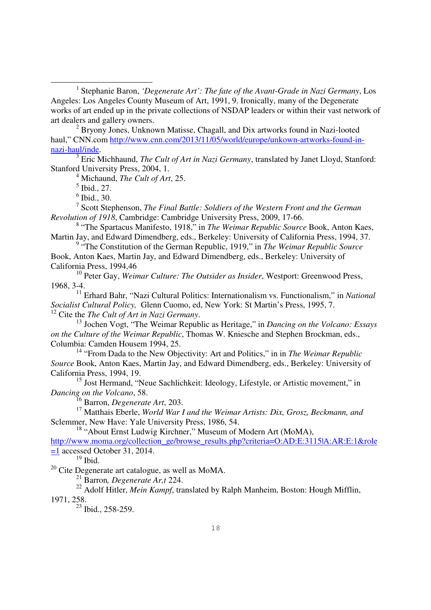<sup>1</sup> Stephanie Baron, *'Degenerate Art': The fate of the Avant-Grade in Nazi Germany*, Los Angeles: Los Angeles County Museum of Art, 1991, 9. Ironically, many of the Degenerate works of art ended up in the private collections of NSDAP leaders or within their vast network of art dealers and gallery owners.

<sup>2</sup> Bryony Jones, Unknown Matisse, Chagall, and Dix artworks found in Nazi-looted haul," CNN.com http://www.cnn.com/2013/11/05/world/europe/unkown-artworks-found-innazi-haul/inde.

3 Eric Michhaund, *The Cult of Art in Nazi Germany*, translated by Janet Lloyd, Stanford: Stanford University Press, 2004, 1.

4 Michaund, *The Cult of Art*, 25.

 $<sup>5</sup>$  Ibid., 27.</sup>

 $\overline{a}$ 

6 Ibid., 30.

7 Scott Stephenson, *The Final Battle: Soldiers of the Western Front and the German Revolution of 1918*, Cambridge: Cambridge University Press, 2009, 17-66.

8 "The Spartacus Manifesto, 1918," in *The Weimar Republic Source* Book, Anton Kaes, Martin Jay, and Edward Dimendberg, eds., Berkeley: University of California Press, 1994, 37.

<sup>9</sup> "The Constitution of the German Republic, 1919," in *The Weimar Republic Source* Book, Anton Kaes, Martin Jay, and Edward Dimendberg, eds., Berkeley: University of California Press, 1994,46

<sup>10</sup> Peter Gay, *Weimar Culture: The Outsider as Insider*, Westport: Greenwood Press, 1968, 3-4.

<sup>11</sup> Erhard Bahr, "Nazi Cultural Politics: Internationalism vs. Functionalism," in *National Socialist Cultural Policy,* Glenn Cuomo, ed, New York: St Martin's Press, 1995, 7. <sup>12</sup> Cite the *The Cult of Art in Nazi Germany*.

<sup>13</sup> Jochen Vogt, "The Weimar Republic as Heritage," in *Dancing on the Volcano: Essays on the Culture of the Weimar Republic*, Thomas W. Kniesche and Stephen Brockman, eds., Columbia: Camden Housem 1994, 25.

<sup>14</sup> "From Dada to the New Objectivity: Art and Politics," in in *The Weimar Republic Source* Book, Anton Kaes, Martin Jay, and Edward Dimendberg, eds., Berkeley: University of California Press, 1994, 19.

<sup>15</sup> Jost Hermand, "Neue Sachlichkeit: Ideology, Lifestyle, or Artistic movement," in *Dancing on the Volcano*, 58.

<sup>16</sup> Barron, *Degenerate Art*, 203.

<sup>17</sup> Matthais Eberle, *World War I and the Weimar Artists: Dix, Grosz, Beckmann, and*  Sclemmer, New Have: Yale University Press, 1986, 54.

<sup>18</sup> "About Ernst Ludwig Kirchner," Museum of Modern Art (MoMA),

http://www.moma.org/collection\_ge/browse\_results.php?criteria=O:AD:E:3115|A:AR:E:1&role  $=1$  accessed October 31, 2014.

 $^{19}$  Ibid.

<sup>20</sup> Cite Degenerate art catalogue, as well as MoMA.

<sup>21</sup> Barron*, Degenerate Ar,t* 224.

<sup>22</sup> Adolf Hitler, *Mein Kampf*, translated by Ralph Manheim, Boston: Hough Mifflin, 1971, 258.

 $23$  Ibid., 258-259.